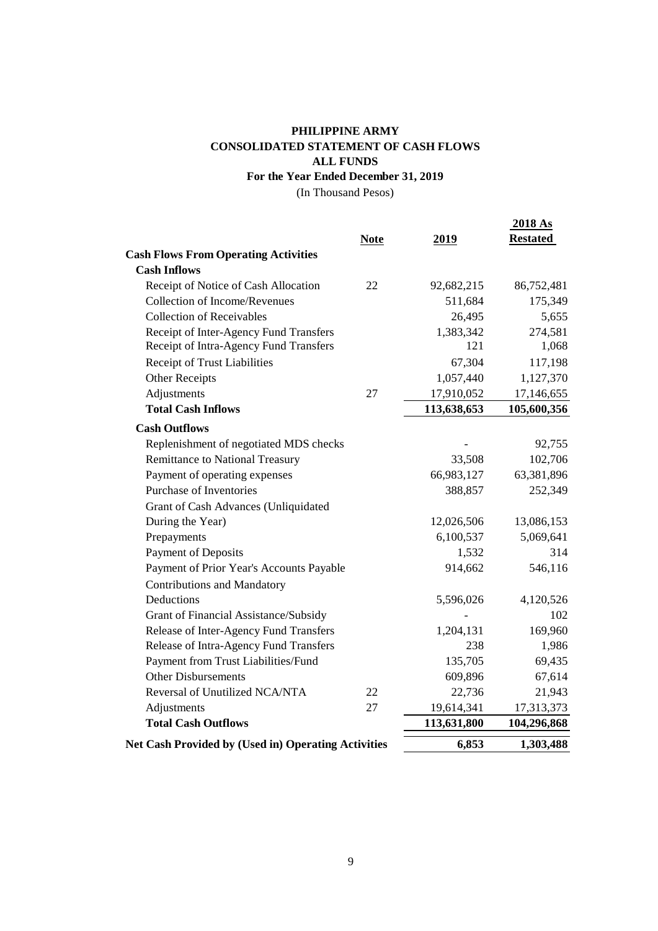## **CONSOLIDATED STATEMENT OF CASH FLOWS PHILIPPINE ARMY ALL FUNDS For the Year Ended December 31, 2019**

(In Thousand Pesos)

|                                                            | <b>Note</b> | 2019        | 2018 As<br><b>Restated</b> |
|------------------------------------------------------------|-------------|-------------|----------------------------|
| <b>Cash Flows From Operating Activities</b>                |             |             |                            |
| <b>Cash Inflows</b>                                        |             |             |                            |
| Receipt of Notice of Cash Allocation                       | 22          | 92,682,215  | 86,752,481                 |
| Collection of Income/Revenues                              |             | 511,684     | 175,349                    |
| <b>Collection of Receivables</b>                           |             | 26,495      | 5,655                      |
| Receipt of Inter-Agency Fund Transfers                     |             | 1,383,342   | 274,581                    |
| Receipt of Intra-Agency Fund Transfers                     |             | 121         | 1,068                      |
| Receipt of Trust Liabilities                               |             | 67,304      | 117,198                    |
| Other Receipts                                             |             | 1,057,440   | 1,127,370                  |
| Adjustments                                                | 27          | 17,910,052  | 17,146,655                 |
| <b>Total Cash Inflows</b>                                  |             | 113,638,653 | 105,600,356                |
| <b>Cash Outflows</b>                                       |             |             |                            |
| Replenishment of negotiated MDS checks                     |             |             | 92,755                     |
| <b>Remittance to National Treasury</b>                     |             | 33,508      | 102,706                    |
| Payment of operating expenses                              |             | 66,983,127  | 63,381,896                 |
| Purchase of Inventories                                    |             | 388,857     | 252,349                    |
| Grant of Cash Advances (Unliquidated                       |             |             |                            |
| During the Year)                                           |             | 12,026,506  | 13,086,153                 |
| Prepayments                                                |             | 6,100,537   | 5,069,641                  |
| <b>Payment of Deposits</b>                                 |             | 1,532       | 314                        |
| Payment of Prior Year's Accounts Payable                   |             | 914,662     | 546,116                    |
| <b>Contributions and Mandatory</b>                         |             |             |                            |
| Deductions                                                 |             | 5,596,026   | 4,120,526                  |
| Grant of Financial Assistance/Subsidy                      |             |             | 102                        |
| Release of Inter-Agency Fund Transfers                     |             | 1,204,131   | 169,960                    |
| Release of Intra-Agency Fund Transfers                     |             | 238         | 1,986                      |
| Payment from Trust Liabilities/Fund                        |             | 135,705     | 69,435                     |
| <b>Other Disbursements</b>                                 |             | 609,896     | 67,614                     |
| Reversal of Unutilized NCA/NTA                             | 22          | 22,736      | 21,943                     |
| Adjustments                                                | 27          | 19,614,341  | 17,313,373                 |
| <b>Total Cash Outflows</b>                                 |             | 113,631,800 | 104,296,868                |
| <b>Net Cash Provided by (Used in) Operating Activities</b> |             | 6,853       | 1,303,488                  |